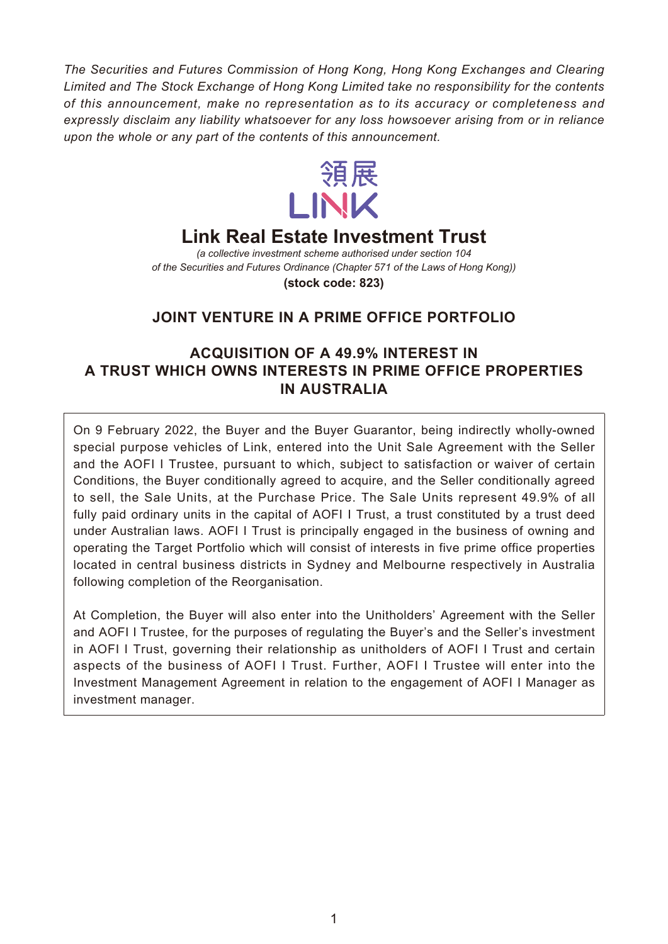*The Securities and Futures Commission of Hong Kong, Hong Kong Exchanges and Clearing Limited and The Stock Exchange of Hong Kong Limited take no responsibility for the contents of this announcement, make no representation as to its accuracy or completeness and expressly disclaim any liability whatsoever for any loss howsoever arising from or in reliance upon the whole or any part of the contents of this announcement.*



# **Link Real Estate Investment Trust**

*(a collective investment scheme authorised under section 104 of the Securities and Futures Ordinance (Chapter 571 of the Laws of Hong Kong))*

**(stock code: 823)**

## **JOINT VENTURE IN A PRIME OFFICE PORTFOLIO**

## **ACQUISITION OF A 49.9% INTEREST IN A TRUST WHICH OWNS INTERESTS IN PRIME OFFICE PROPERTIES IN AUSTRALIA**

On 9 February 2022, the Buyer and the Buyer Guarantor, being indirectly wholly-owned special purpose vehicles of Link, entered into the Unit Sale Agreement with the Seller and the AOFI I Trustee, pursuant to which, subject to satisfaction or waiver of certain Conditions, the Buyer conditionally agreed to acquire, and the Seller conditionally agreed to sell, the Sale Units, at the Purchase Price. The Sale Units represent 49.9% of all fully paid ordinary units in the capital of AOFI I Trust, a trust constituted by a trust deed under Australian laws. AOFI I Trust is principally engaged in the business of owning and operating the Target Portfolio which will consist of interests in five prime office properties located in central business districts in Sydney and Melbourne respectively in Australia following completion of the Reorganisation.

At Completion, the Buyer will also enter into the Unitholders' Agreement with the Seller and AOFI I Trustee, for the purposes of regulating the Buyer's and the Seller's investment in AOFI I Trust, governing their relationship as unitholders of AOFI I Trust and certain aspects of the business of AOFI I Trust. Further, AOFI I Trustee will enter into the Investment Management Agreement in relation to the engagement of AOFI I Manager as investment manager.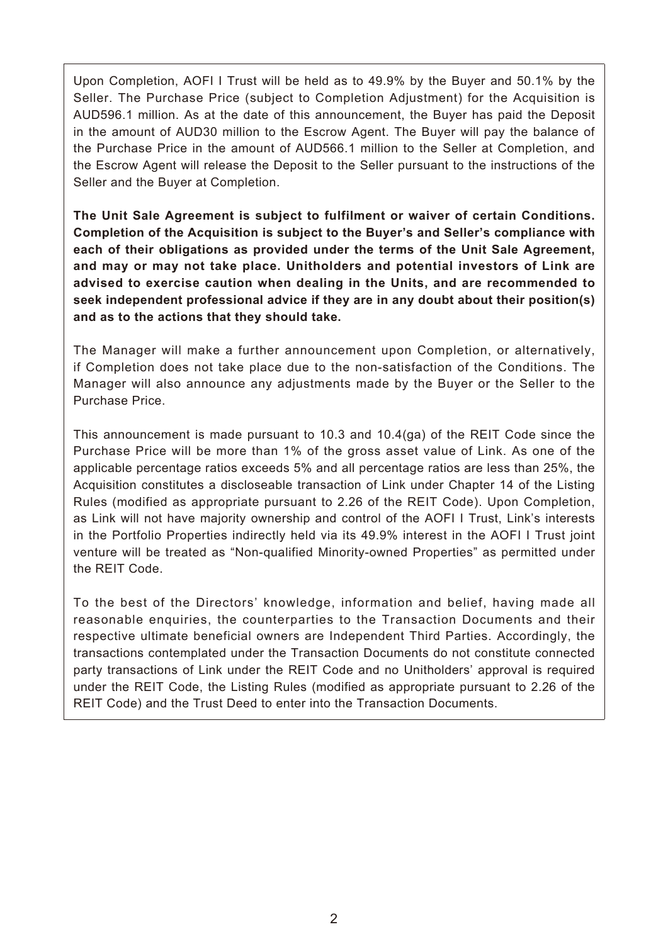Upon Completion, AOFI I Trust will be held as to 49.9% by the Buyer and 50.1% by the Seller. The Purchase Price (subject to Completion Adjustment) for the Acquisition is AUD596.1 million. As at the date of this announcement, the Buyer has paid the Deposit in the amount of AUD30 million to the Escrow Agent. The Buyer will pay the balance of the Purchase Price in the amount of AUD566.1 million to the Seller at Completion, and the Escrow Agent will release the Deposit to the Seller pursuant to the instructions of the Seller and the Buyer at Completion.

**The Unit Sale Agreement is subject to fulfilment or waiver of certain Conditions. Completion of the Acquisition is subject to the Buyer's and Seller's compliance with each of their obligations as provided under the terms of the Unit Sale Agreement, and may or may not take place. Unitholders and potential investors of Link are advised to exercise caution when dealing in the Units, and are recommended to seek independent professional advice if they are in any doubt about their position(s) and as to the actions that they should take.**

The Manager will make a further announcement upon Completion, or alternatively, if Completion does not take place due to the non-satisfaction of the Conditions. The Manager will also announce any adjustments made by the Buyer or the Seller to the Purchase Price.

This announcement is made pursuant to 10.3 and 10.4(ga) of the REIT Code since the Purchase Price will be more than 1% of the gross asset value of Link. As one of the applicable percentage ratios exceeds 5% and all percentage ratios are less than 25%, the Acquisition constitutes a discloseable transaction of Link under Chapter 14 of the Listing Rules (modified as appropriate pursuant to 2.26 of the REIT Code). Upon Completion, as Link will not have majority ownership and control of the AOFI I Trust, Link's interests in the Portfolio Properties indirectly held via its 49.9% interest in the AOFI I Trust joint venture will be treated as "Non-qualified Minority-owned Properties" as permitted under the REIT Code.

To the best of the Directors' knowledge, information and belief, having made all reasonable enquiries, the counterparties to the Transaction Documents and their respective ultimate beneficial owners are Independent Third Parties. Accordingly, the transactions contemplated under the Transaction Documents do not constitute connected party transactions of Link under the REIT Code and no Unitholders' approval is required under the REIT Code, the Listing Rules (modified as appropriate pursuant to 2.26 of the REIT Code) and the Trust Deed to enter into the Transaction Documents.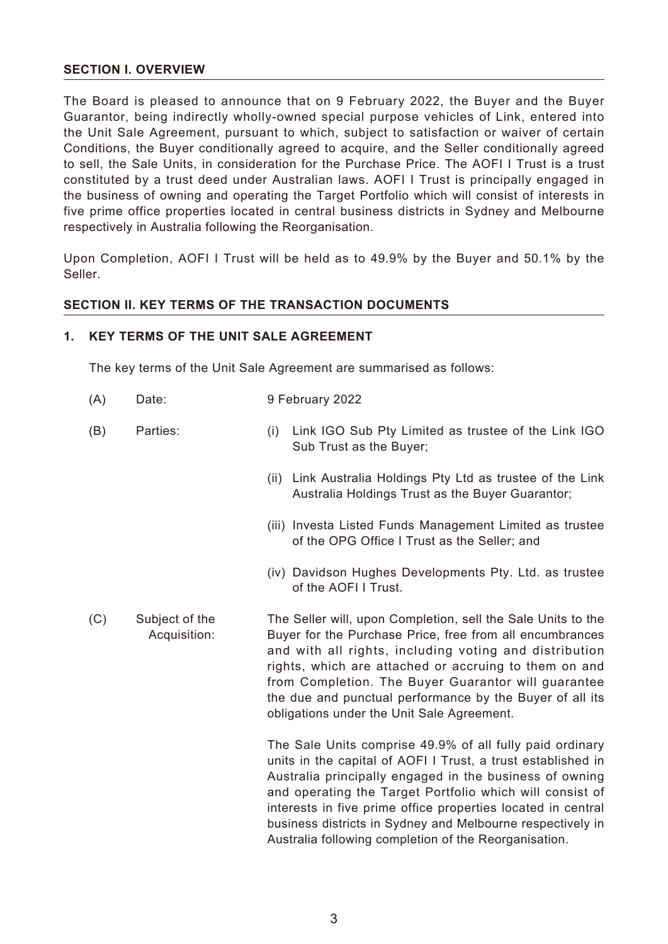#### **SECTION I. OVERVIEW**

The Board is pleased to announce that on 9 February 2022, the Buyer and the Buyer Guarantor, being indirectly wholly-owned special purpose vehicles of Link, entered into the Unit Sale Agreement, pursuant to which, subject to satisfaction or waiver of certain Conditions, the Buyer conditionally agreed to acquire, and the Seller conditionally agreed to sell, the Sale Units, in consideration for the Purchase Price. The AOFI I Trust is a trust constituted by a trust deed under Australian laws. AOFI I Trust is principally engaged in the business of owning and operating the Target Portfolio which will consist of interests in five prime office properties located in central business districts in Sydney and Melbourne respectively in Australia following the Reorganisation.

Upon Completion, AOFI I Trust will be held as to 49.9% by the Buyer and 50.1% by the Seller.

#### **SECTION II. KEY TERMS OF THE TRANSACTION DOCUMENTS**

#### **1. KEY TERMS OF THE UNIT SALE AGREEMENT**

The key terms of the Unit Sale Agreement are summarised as follows:

- (A) Date: 9 February 2022
- (B) Parties: (i) Link IGO Sub Pty Limited as trustee of the Link IGO Sub Trust as the Buyer;
	- (ii) Link Australia Holdings Pty Ltd as trustee of the Link Australia Holdings Trust as the Buyer Guarantor;
	- (iii) Investa Listed Funds Management Limited as trustee of the OPG Office I Trust as the Seller; and
	- (iv) Davidson Hughes Developments Pty. Ltd. as trustee of the AOFI I Trust.
- (C) Subject of the Acquisition: The Seller will, upon Completion, sell the Sale Units to the Buyer for the Purchase Price, free from all encumbrances and with all rights, including voting and distribution rights, which are attached or accruing to them on and from Completion. The Buyer Guarantor will guarantee the due and punctual performance by the Buyer of all its obligations under the Unit Sale Agreement.

The Sale Units comprise 49.9% of all fully paid ordinary units in the capital of AOFI I Trust, a trust established in Australia principally engaged in the business of owning and operating the Target Portfolio which will consist of interests in five prime office properties located in central business districts in Sydney and Melbourne respectively in Australia following completion of the Reorganisation.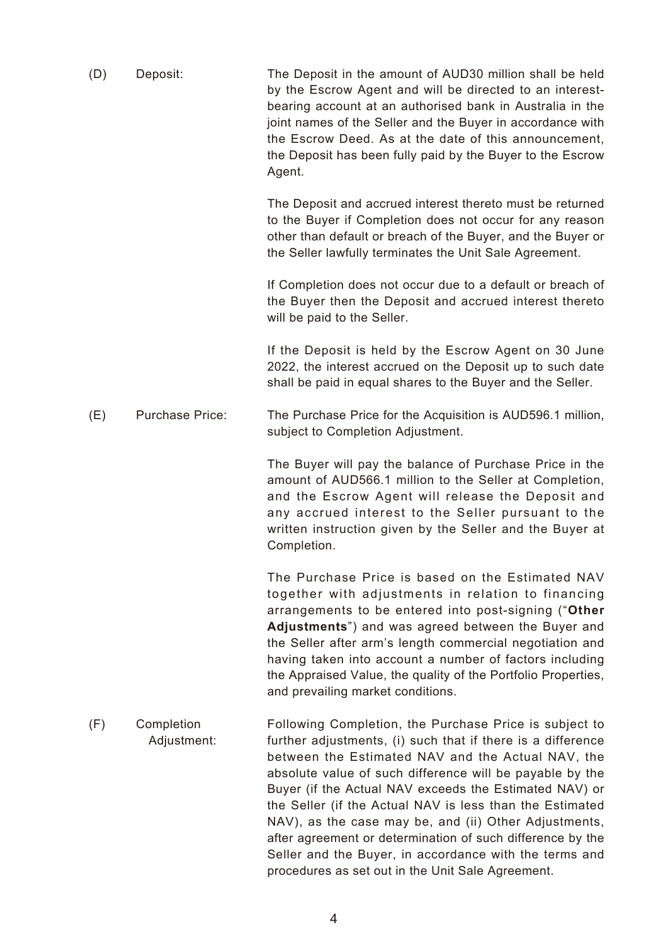| (D) | Deposit:                  | The Deposit in the amount of AUD30 million shall be held<br>by the Escrow Agent and will be directed to an interest-<br>bearing account at an authorised bank in Australia in the<br>joint names of the Seller and the Buyer in accordance with<br>the Escrow Deed. As at the date of this announcement,<br>the Deposit has been fully paid by the Buyer to the Escrow<br>Agent.                                                                                                                                                                                                                   |
|-----|---------------------------|----------------------------------------------------------------------------------------------------------------------------------------------------------------------------------------------------------------------------------------------------------------------------------------------------------------------------------------------------------------------------------------------------------------------------------------------------------------------------------------------------------------------------------------------------------------------------------------------------|
|     |                           | The Deposit and accrued interest thereto must be returned<br>to the Buyer if Completion does not occur for any reason<br>other than default or breach of the Buyer, and the Buyer or<br>the Seller lawfully terminates the Unit Sale Agreement.                                                                                                                                                                                                                                                                                                                                                    |
|     |                           | If Completion does not occur due to a default or breach of<br>the Buyer then the Deposit and accrued interest thereto<br>will be paid to the Seller.                                                                                                                                                                                                                                                                                                                                                                                                                                               |
|     |                           | If the Deposit is held by the Escrow Agent on 30 June<br>2022, the interest accrued on the Deposit up to such date<br>shall be paid in equal shares to the Buyer and the Seller.                                                                                                                                                                                                                                                                                                                                                                                                                   |
| (E) | <b>Purchase Price:</b>    | The Purchase Price for the Acquisition is AUD596.1 million,<br>subject to Completion Adjustment.                                                                                                                                                                                                                                                                                                                                                                                                                                                                                                   |
|     |                           | The Buyer will pay the balance of Purchase Price in the<br>amount of AUD566.1 million to the Seller at Completion,<br>and the Escrow Agent will release the Deposit and<br>any accrued interest to the Seller pursuant to the<br>written instruction given by the Seller and the Buyer at<br>Completion.                                                                                                                                                                                                                                                                                           |
|     |                           | The Purchase Price is based on the Estimated NAV<br>together with adjustments in relation to financing<br>arrangements to be entered into post-signing ("Other<br>Adjustments") and was agreed between the Buyer and<br>the Seller after arm's length commercial negotiation and<br>having taken into account a number of factors including<br>the Appraised Value, the quality of the Portfolio Properties,<br>and prevailing market conditions.                                                                                                                                                  |
| (F) | Completion<br>Adjustment: | Following Completion, the Purchase Price is subject to<br>further adjustments, (i) such that if there is a difference<br>between the Estimated NAV and the Actual NAV, the<br>absolute value of such difference will be payable by the<br>Buyer (if the Actual NAV exceeds the Estimated NAV) or<br>the Seller (if the Actual NAV is less than the Estimated<br>NAV), as the case may be, and (ii) Other Adjustments,<br>after agreement or determination of such difference by the<br>Seller and the Buyer, in accordance with the terms and<br>procedures as set out in the Unit Sale Agreement. |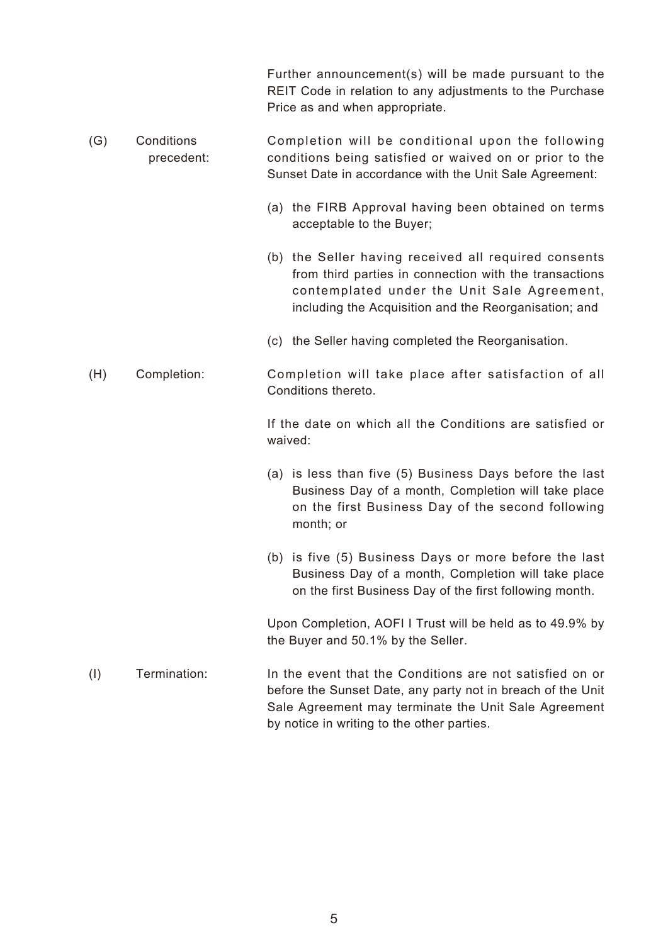Further announcement(s) will be made pursuant to the REIT Code in relation to any adjustments to the Purchase Price as and when appropriate.

- (G) Conditions precedent: Completion will be conditional upon the following conditions being satisfied or waived on or prior to the Sunset Date in accordance with the Unit Sale Agreement:
	- (a) the FIRB Approval having been obtained on terms acceptable to the Buyer;
	- (b) the Seller having received all required consents from third parties in connection with the transactions contemplated under the Unit Sale Agreement, including the Acquisition and the Reorganisation; and
	- (c) the Seller having completed the Reorganisation.

## (H) Completion: Completion will take place after satisfaction of all Conditions thereto.

If the date on which all the Conditions are satisfied or waived:

- (a) is less than five (5) Business Days before the last Business Day of a month, Completion will take place on the first Business Day of the second following month; or
- (b) is five (5) Business Days or more before the last Business Day of a month, Completion will take place on the first Business Day of the first following month.

Upon Completion, AOFI I Trust will be held as to 49.9% by the Buyer and 50.1% by the Seller.

(I) Termination: In the event that the Conditions are not satisfied on or before the Sunset Date, any party not in breach of the Unit Sale Agreement may terminate the Unit Sale Agreement by notice in writing to the other parties.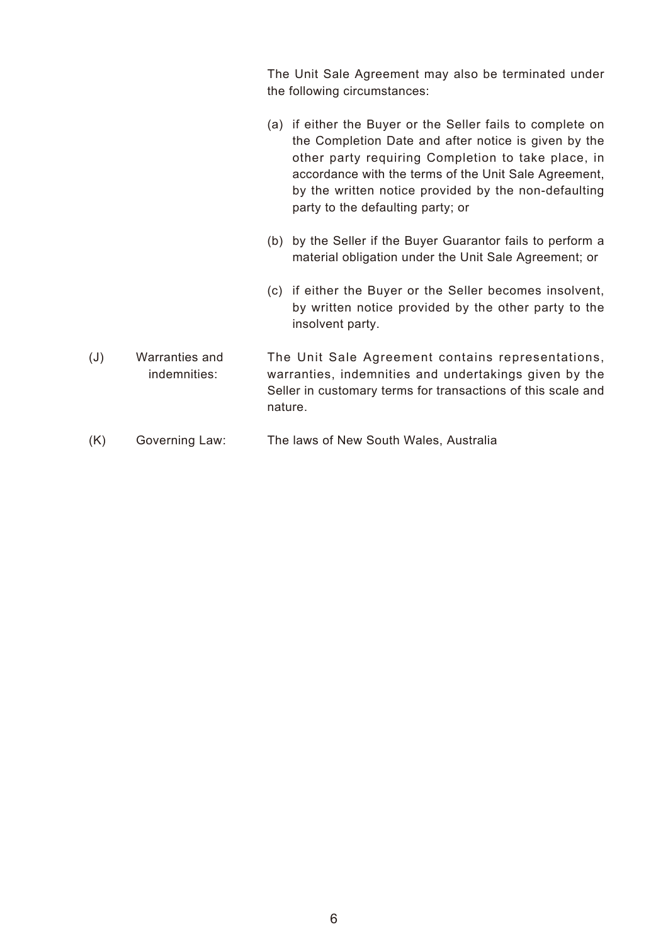The Unit Sale Agreement may also be terminated under the following circumstances:

- (a) if either the Buyer or the Seller fails to complete on the Completion Date and after notice is given by the other party requiring Completion to take place, in accordance with the terms of the Unit Sale Agreement, by the written notice provided by the non-defaulting party to the defaulting party; or
- (b) by the Seller if the Buyer Guarantor fails to perform a material obligation under the Unit Sale Agreement; or
- (c) if either the Buyer or the Seller becomes insolvent, by written notice provided by the other party to the insolvent party.
- (J) Warranties and indemnities: The Unit Sale Agreement contains representations, warranties, indemnities and undertakings given by the Seller in customary terms for transactions of this scale and nature.
- (K) Governing Law: The laws of New South Wales, Australia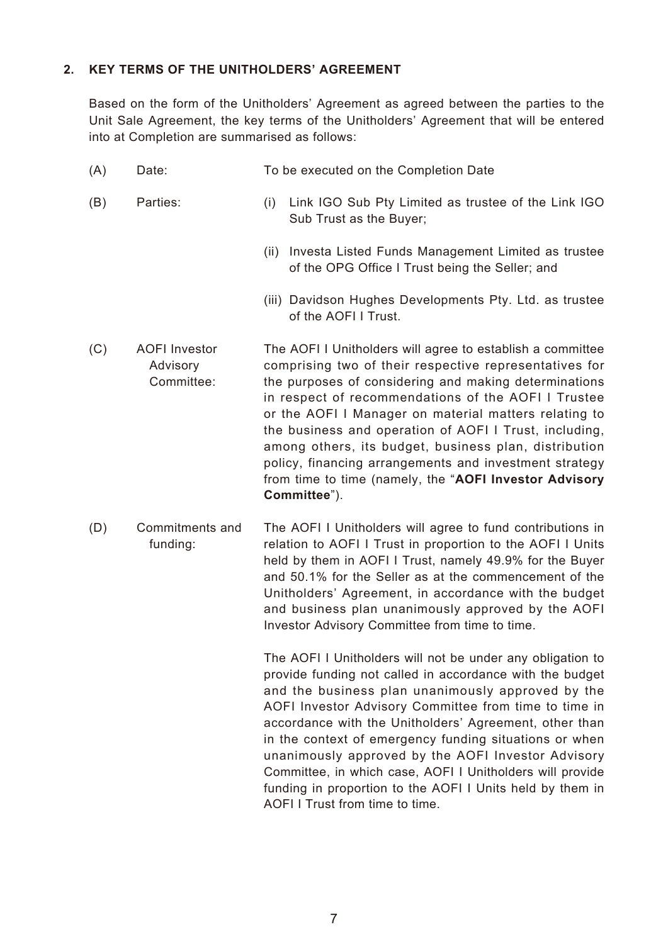#### **2. KEY TERMS OF THE UNITHOLDERS' AGREEMENT**

Based on the form of the Unitholders' Agreement as agreed between the parties to the Unit Sale Agreement, the key terms of the Unitholders' Agreement that will be entered into at Completion are summarised as follows:

| (A) | Date:                                          | To be executed on the Completion Date                                                                                                                                                                                                                                                                                                                                                                                                                                                                                                                |
|-----|------------------------------------------------|------------------------------------------------------------------------------------------------------------------------------------------------------------------------------------------------------------------------------------------------------------------------------------------------------------------------------------------------------------------------------------------------------------------------------------------------------------------------------------------------------------------------------------------------------|
| (B) | Parties:                                       | Link IGO Sub Pty Limited as trustee of the Link IGO<br>(i)<br>Sub Trust as the Buyer;                                                                                                                                                                                                                                                                                                                                                                                                                                                                |
|     |                                                | (ii) Investa Listed Funds Management Limited as trustee<br>of the OPG Office I Trust being the Seller; and                                                                                                                                                                                                                                                                                                                                                                                                                                           |
|     |                                                | (iii) Davidson Hughes Developments Pty. Ltd. as trustee<br>of the AOFI I Trust.                                                                                                                                                                                                                                                                                                                                                                                                                                                                      |
| (C) | <b>AOFI</b> Investor<br>Advisory<br>Committee: | The AOFI I Unitholders will agree to establish a committee<br>comprising two of their respective representatives for<br>the purposes of considering and making determinations<br>in respect of recommendations of the AOFI I Trustee<br>or the AOFI I Manager on material matters relating to<br>the business and operation of AOFI I Trust, including,<br>among others, its budget, business plan, distribution<br>policy, financing arrangements and investment strategy<br>from time to time (namely, the "AOFI Investor Advisory<br>Committee"). |
| (D) | Commitments and<br>funding:                    | The AOFI I Unitholders will agree to fund contributions in<br>relation to AOFI I Trust in proportion to the AOFI I Units<br>held by them in AOFI I Trust, namely 49.9% for the Buyer<br>and 50.1% for the Seller as at the commencement of the<br>Unitholders' Agreement, in accordance with the budget<br>and business plan unanimously approved by the AOFI                                                                                                                                                                                        |

The AOFI I Unitholders will not be under any obligation to provide funding not called in accordance with the budget and the business plan unanimously approved by the AOFI Investor Advisory Committee from time to time in accordance with the Unitholders' Agreement, other than in the context of emergency funding situations or when unanimously approved by the AOFI Investor Advisory Committee, in which case, AOFI I Unitholders will provide funding in proportion to the AOFI I Units held by them in AOFI I Trust from time to time.

Investor Advisory Committee from time to time.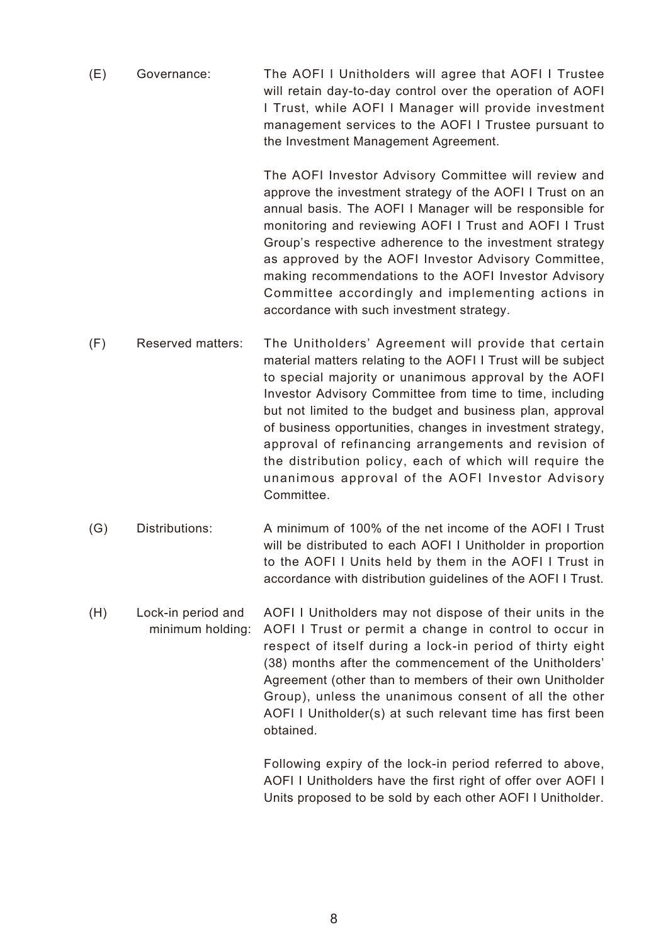(E) Governance: The AOFI I Unitholders will agree that AOFI I Trustee will retain day-to-day control over the operation of AOFI I Trust, while AOFI I Manager will provide investment management services to the AOFI I Trustee pursuant to the Investment Management Agreement.

> The AOFI Investor Advisory Committee will review and approve the investment strategy of the AOFI I Trust on an annual basis. The AOFI I Manager will be responsible for monitoring and reviewing AOFI I Trust and AOFI I Trust Group's respective adherence to the investment strategy as approved by the AOFI Investor Advisory Committee, making recommendations to the AOFI Investor Advisory Committee accordingly and implementing actions in accordance with such investment strategy.

- (F) Reserved matters: The Unitholders' Agreement will provide that certain material matters relating to the AOFI I Trust will be subject to special majority or unanimous approval by the AOFI Investor Advisory Committee from time to time, including but not limited to the budget and business plan, approval of business opportunities, changes in investment strategy, approval of refinancing arrangements and revision of the distribution policy, each of which will require the unanimous approval of the AOFI Investor Advisory Committee.
- (G) Distributions: A minimum of 100% of the net income of the AOFI I Trust will be distributed to each AOFI I Unitholder in proportion to the AOFI I Units held by them in the AOFI I Trust in accordance with distribution guidelines of the AOFI I Trust.
- (H) Lock-in period and minimum holding: AOFI I Unitholders may not dispose of their units in the AOFI I Trust or permit a change in control to occur in respect of itself during a lock-in period of thirty eight (38) months after the commencement of the Unitholders' Agreement (other than to members of their own Unitholder Group), unless the unanimous consent of all the other AOFI I Unitholder(s) at such relevant time has first been obtained.

Following expiry of the lock-in period referred to above, AOFI I Unitholders have the first right of offer over AOFI I Units proposed to be sold by each other AOFI I Unitholder.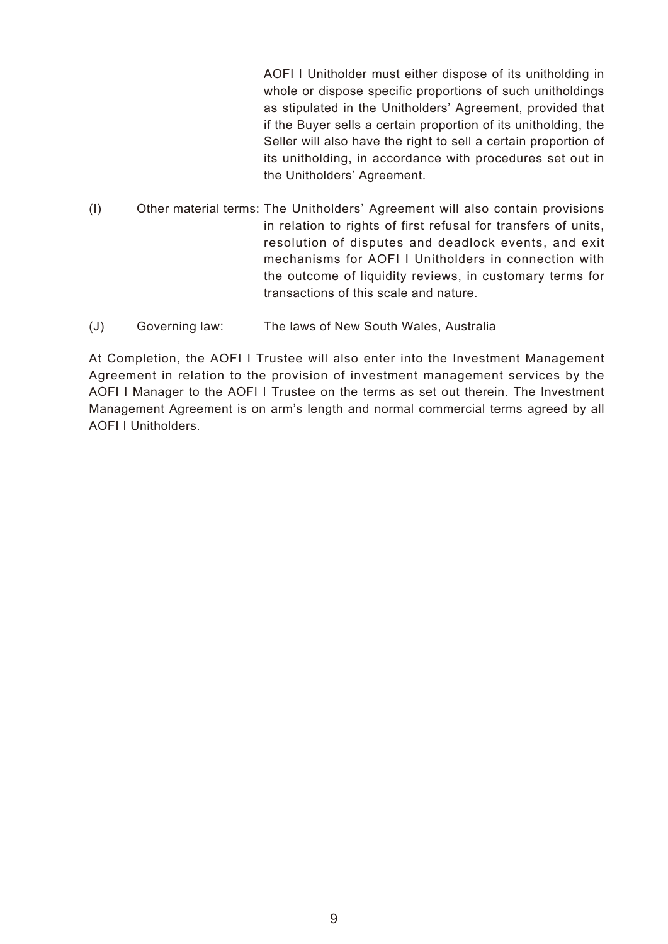AOFI I Unitholder must either dispose of its unitholding in whole or dispose specific proportions of such unitholdings as stipulated in the Unitholders' Agreement, provided that if the Buyer sells a certain proportion of its unitholding, the Seller will also have the right to sell a certain proportion of its unitholding, in accordance with procedures set out in the Unitholders' Agreement.

- (I) Other material terms: The Unitholders' Agreement will also contain provisions in relation to rights of first refusal for transfers of units, resolution of disputes and deadlock events, and exit mechanisms for AOFI I Unitholders in connection with the outcome of liquidity reviews, in customary terms for transactions of this scale and nature.
- (J) Governing law: The laws of New South Wales, Australia

At Completion, the AOFI I Trustee will also enter into the Investment Management Agreement in relation to the provision of investment management services by the AOFI I Manager to the AOFI I Trustee on the terms as set out therein. The Investment Management Agreement is on arm's length and normal commercial terms agreed by all AOFI I Unitholders.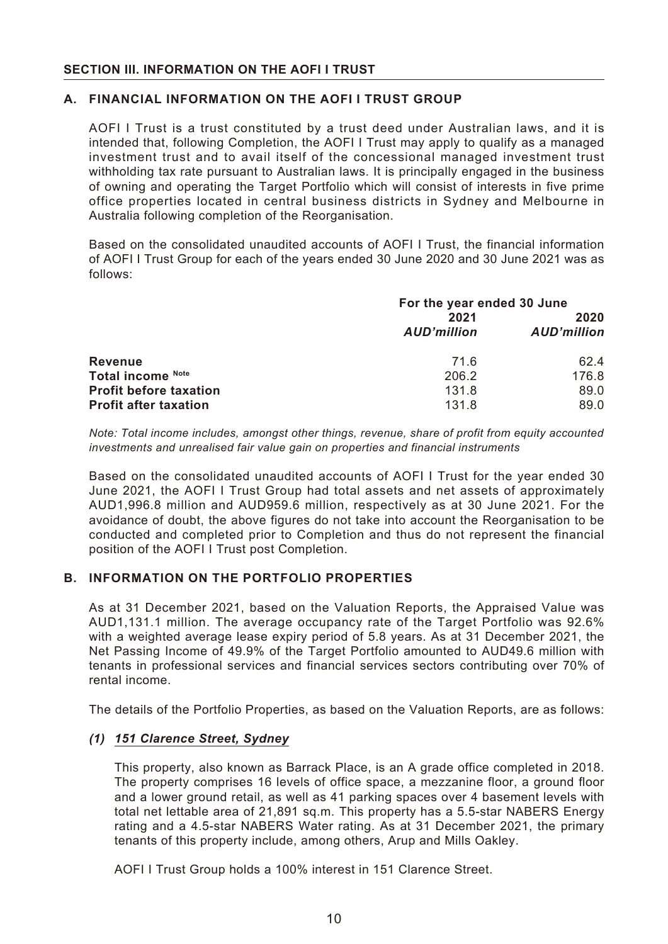#### **A. FINANCIAL INFORMATION ON THE AOFI I TRUST GROUP**

AOFI I Trust is a trust constituted by a trust deed under Australian laws, and it is intended that, following Completion, the AOFI I Trust may apply to qualify as a managed investment trust and to avail itself of the concessional managed investment trust withholding tax rate pursuant to Australian laws. It is principally engaged in the business of owning and operating the Target Portfolio which will consist of interests in five prime office properties located in central business districts in Sydney and Melbourne in Australia following completion of the Reorganisation.

Based on the consolidated unaudited accounts of AOFI I Trust, the financial information of AOFI I Trust Group for each of the years ended 30 June 2020 and 30 June 2021 was as follows:

|                               | For the year ended 30 June |                    |
|-------------------------------|----------------------------|--------------------|
|                               | 2021                       | 2020               |
|                               | <b>AUD'million</b>         | <b>AUD'million</b> |
| <b>Revenue</b>                | 71.6                       | 62.4               |
| Total income Note             | 206.2                      | 176.8              |
| <b>Profit before taxation</b> | 131.8                      | 89.0               |
| <b>Profit after taxation</b>  | 131.8                      | 89.0               |

*Note: Total income includes, amongst other things, revenue, share of profit from equity accounted investments and unrealised fair value gain on properties and financial instruments*

Based on the consolidated unaudited accounts of AOFI I Trust for the year ended 30 June 2021, the AOFI I Trust Group had total assets and net assets of approximately AUD1,996.8 million and AUD959.6 million, respectively as at 30 June 2021. For the avoidance of doubt, the above figures do not take into account the Reorganisation to be conducted and completed prior to Completion and thus do not represent the financial position of the AOFI I Trust post Completion.

#### **B. INFORMATION ON THE PORTFOLIO PROPERTIES**

As at 31 December 2021, based on the Valuation Reports, the Appraised Value was AUD1,131.1 million. The average occupancy rate of the Target Portfolio was 92.6% with a weighted average lease expiry period of 5.8 years. As at 31 December 2021, the Net Passing Income of 49.9% of the Target Portfolio amounted to AUD49.6 million with tenants in professional services and financial services sectors contributing over 70% of rental income.

The details of the Portfolio Properties, as based on the Valuation Reports, are as follows:

#### *(1) 151 Clarence Street, Sydney*

This property, also known as Barrack Place, is an A grade office completed in 2018. The property comprises 16 levels of office space, a mezzanine floor, a ground floor and a lower ground retail, as well as 41 parking spaces over 4 basement levels with total net lettable area of 21,891 sq.m. This property has a 5.5-star NABERS Energy rating and a 4.5-star NABERS Water rating. As at 31 December 2021, the primary tenants of this property include, among others, Arup and Mills Oakley.

AOFI I Trust Group holds a 100% interest in 151 Clarence Street.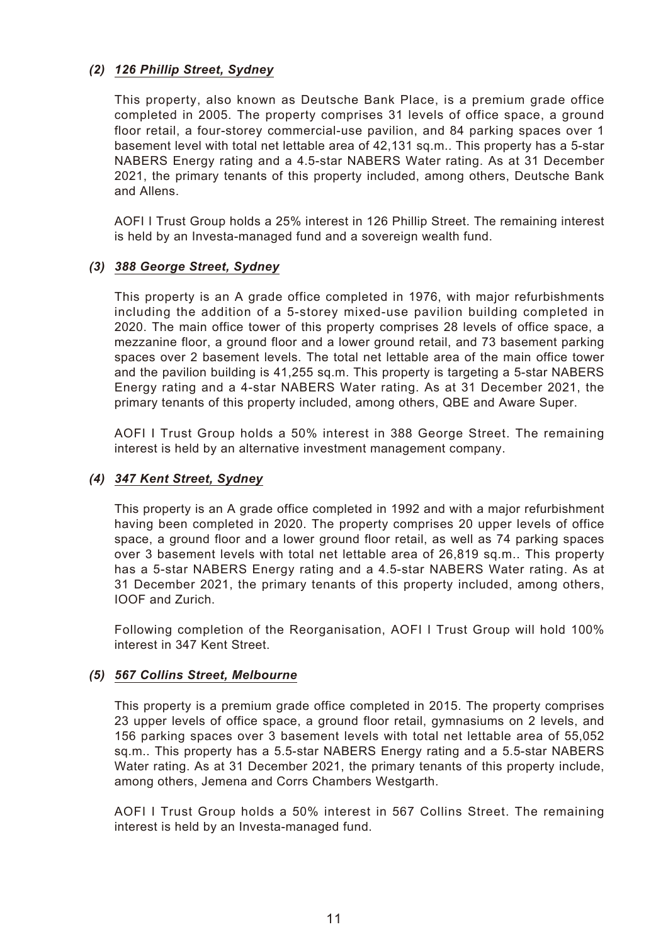## *(2) 126 Phillip Street, Sydney*

This property, also known as Deutsche Bank Place, is a premium grade office completed in 2005. The property comprises 31 levels of office space, a ground floor retail, a four-storey commercial-use pavilion, and 84 parking spaces over 1 basement level with total net lettable area of 42,131 sq.m.. This property has a 5-star NABERS Energy rating and a 4.5-star NABERS Water rating. As at 31 December 2021, the primary tenants of this property included, among others, Deutsche Bank and Allens.

AOFI I Trust Group holds a 25% interest in 126 Phillip Street. The remaining interest is held by an Investa-managed fund and a sovereign wealth fund.

#### *(3) 388 George Street, Sydney*

This property is an A grade office completed in 1976, with major refurbishments including the addition of a 5-storey mixed-use pavilion building completed in 2020. The main office tower of this property comprises 28 levels of office space, a mezzanine floor, a ground floor and a lower ground retail, and 73 basement parking spaces over 2 basement levels. The total net lettable area of the main office tower and the pavilion building is 41,255 sq.m. This property is targeting a 5-star NABERS Energy rating and a 4-star NABERS Water rating. As at 31 December 2021, the primary tenants of this property included, among others, QBE and Aware Super.

AOFI I Trust Group holds a 50% interest in 388 George Street. The remaining interest is held by an alternative investment management company.

## *(4) 347 Kent Street, Sydney*

This property is an A grade office completed in 1992 and with a major refurbishment having been completed in 2020. The property comprises 20 upper levels of office space, a ground floor and a lower ground floor retail, as well as 74 parking spaces over 3 basement levels with total net lettable area of 26.819 sq.m.. This property has a 5-star NABERS Energy rating and a 4.5-star NABERS Water rating. As at 31 December 2021, the primary tenants of this property included, among others, IOOF and Zurich.

Following completion of the Reorganisation, AOFI I Trust Group will hold 100% interest in 347 Kent Street.

#### *(5) 567 Collins Street, Melbourne*

This property is a premium grade office completed in 2015. The property comprises 23 upper levels of office space, a ground floor retail, gymnasiums on 2 levels, and 156 parking spaces over 3 basement levels with total net lettable area of 55,052 sq.m.. This property has a 5.5-star NABERS Energy rating and a 5.5-star NABERS Water rating. As at 31 December 2021, the primary tenants of this property include, among others, Jemena and Corrs Chambers Westgarth.

AOFI I Trust Group holds a 50% interest in 567 Collins Street. The remaining interest is held by an Investa-managed fund.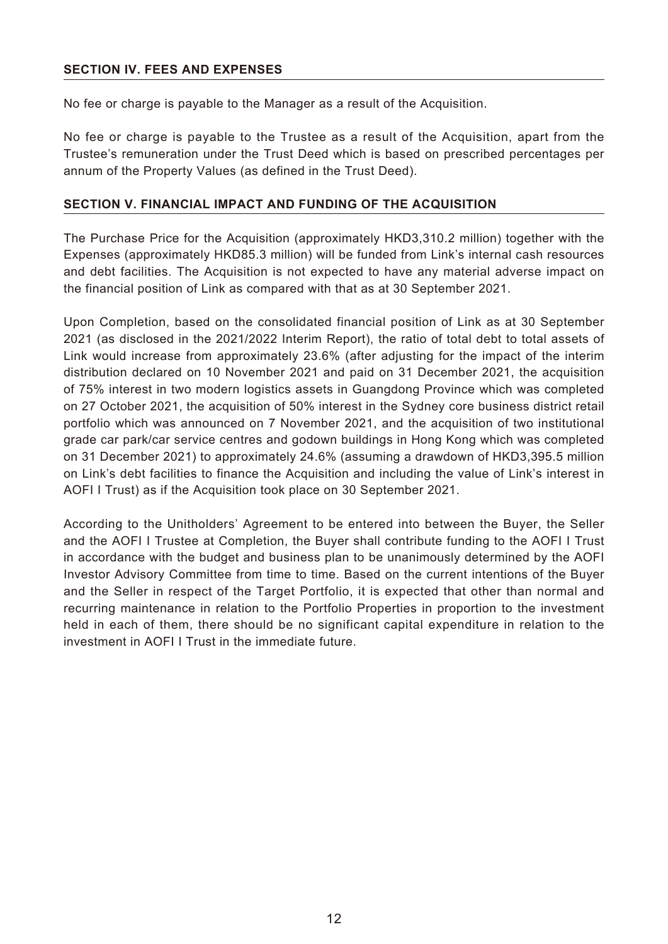#### **SECTION IV. FEES AND EXPENSES**

No fee or charge is payable to the Manager as a result of the Acquisition.

No fee or charge is payable to the Trustee as a result of the Acquisition, apart from the Trustee's remuneration under the Trust Deed which is based on prescribed percentages per annum of the Property Values (as defined in the Trust Deed).

#### **SECTION V. FINANCIAL IMPACT AND FUNDING OF THE ACQUISITION**

The Purchase Price for the Acquisition (approximately HKD3,310.2 million) together with the Expenses (approximately HKD85.3 million) will be funded from Link's internal cash resources and debt facilities. The Acquisition is not expected to have any material adverse impact on the financial position of Link as compared with that as at 30 September 2021.

Upon Completion, based on the consolidated financial position of Link as at 30 September 2021 (as disclosed in the 2021/2022 Interim Report), the ratio of total debt to total assets of Link would increase from approximately 23.6% (after adjusting for the impact of the interim distribution declared on 10 November 2021 and paid on 31 December 2021, the acquisition of 75% interest in two modern logistics assets in Guangdong Province which was completed on 27 October 2021, the acquisition of 50% interest in the Sydney core business district retail portfolio which was announced on 7 November 2021, and the acquisition of two institutional grade car park/car service centres and godown buildings in Hong Kong which was completed on 31 December 2021) to approximately 24.6% (assuming a drawdown of HKD3,395.5 million on Link's debt facilities to finance the Acquisition and including the value of Link's interest in AOFI I Trust) as if the Acquisition took place on 30 September 2021.

According to the Unitholders' Agreement to be entered into between the Buyer, the Seller and the AOFI I Trustee at Completion, the Buyer shall contribute funding to the AOFI I Trust in accordance with the budget and business plan to be unanimously determined by the AOFI Investor Advisory Committee from time to time. Based on the current intentions of the Buyer and the Seller in respect of the Target Portfolio, it is expected that other than normal and recurring maintenance in relation to the Portfolio Properties in proportion to the investment held in each of them, there should be no significant capital expenditure in relation to the investment in AOFI I Trust in the immediate future.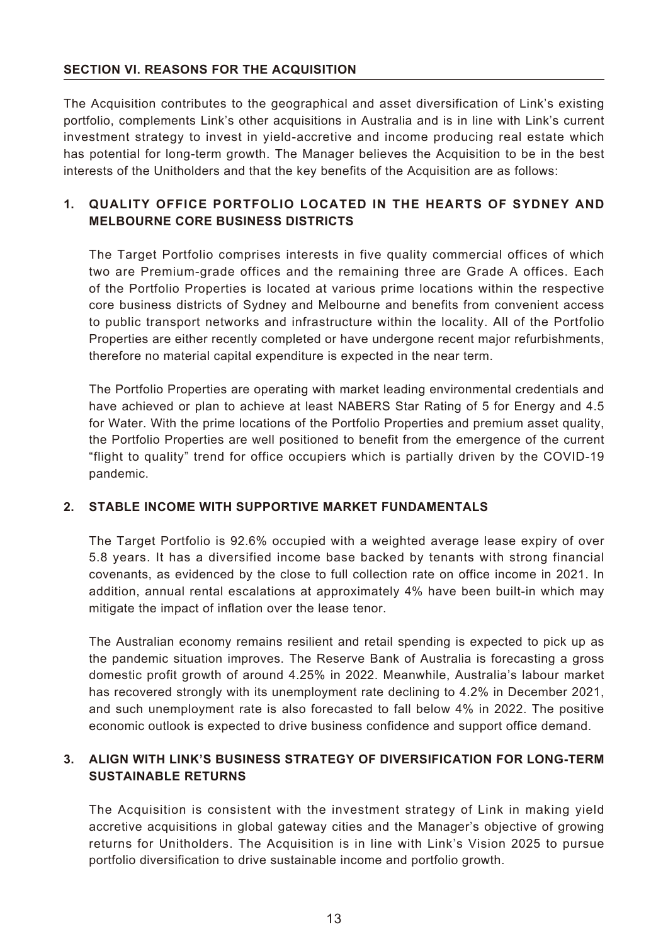## **SECTION VI. REASONS FOR THE ACQUISITION**

The Acquisition contributes to the geographical and asset diversification of Link's existing portfolio, complements Link's other acquisitions in Australia and is in line with Link's current investment strategy to invest in yield-accretive and income producing real estate which has potential for long-term growth. The Manager believes the Acquisition to be in the best interests of the Unitholders and that the key benefits of the Acquisition are as follows:

## **1. QUALITY OFFICE PORTFOLIO LOCATED IN THE HEARTS OF SYDNEY AND MELBOURNE CORE BUSINESS DISTRICTS**

The Target Portfolio comprises interests in five quality commercial offices of which two are Premium-grade offices and the remaining three are Grade A offices. Each of the Portfolio Properties is located at various prime locations within the respective core business districts of Sydney and Melbourne and benefits from convenient access to public transport networks and infrastructure within the locality. All of the Portfolio Properties are either recently completed or have undergone recent major refurbishments, therefore no material capital expenditure is expected in the near term.

The Portfolio Properties are operating with market leading environmental credentials and have achieved or plan to achieve at least NABERS Star Rating of 5 for Energy and 4.5 for Water. With the prime locations of the Portfolio Properties and premium asset quality, the Portfolio Properties are well positioned to benefit from the emergence of the current "flight to quality" trend for office occupiers which is partially driven by the COVID-19 pandemic.

## **2. STABLE INCOME WITH SUPPORTIVE MARKET FUNDAMENTALS**

The Target Portfolio is 92.6% occupied with a weighted average lease expiry of over 5.8 years. It has a diversified income base backed by tenants with strong financial covenants, as evidenced by the close to full collection rate on office income in 2021. In addition, annual rental escalations at approximately 4% have been built-in which may mitigate the impact of inflation over the lease tenor.

The Australian economy remains resilient and retail spending is expected to pick up as the pandemic situation improves. The Reserve Bank of Australia is forecasting a gross domestic profit growth of around 4.25% in 2022. Meanwhile, Australia's labour market has recovered strongly with its unemployment rate declining to 4.2% in December 2021, and such unemployment rate is also forecasted to fall below 4% in 2022. The positive economic outlook is expected to drive business confidence and support office demand.

## **3. ALIGN WITH LINK'S BUSINESS STRATEGY OF DIVERSIFICATION FOR LONG-TERM SUSTAINABLE RETURNS**

The Acquisition is consistent with the investment strategy of Link in making yield accretive acquisitions in global gateway cities and the Manager's objective of growing returns for Unitholders. The Acquisition is in line with Link's Vision 2025 to pursue portfolio diversification to drive sustainable income and portfolio growth.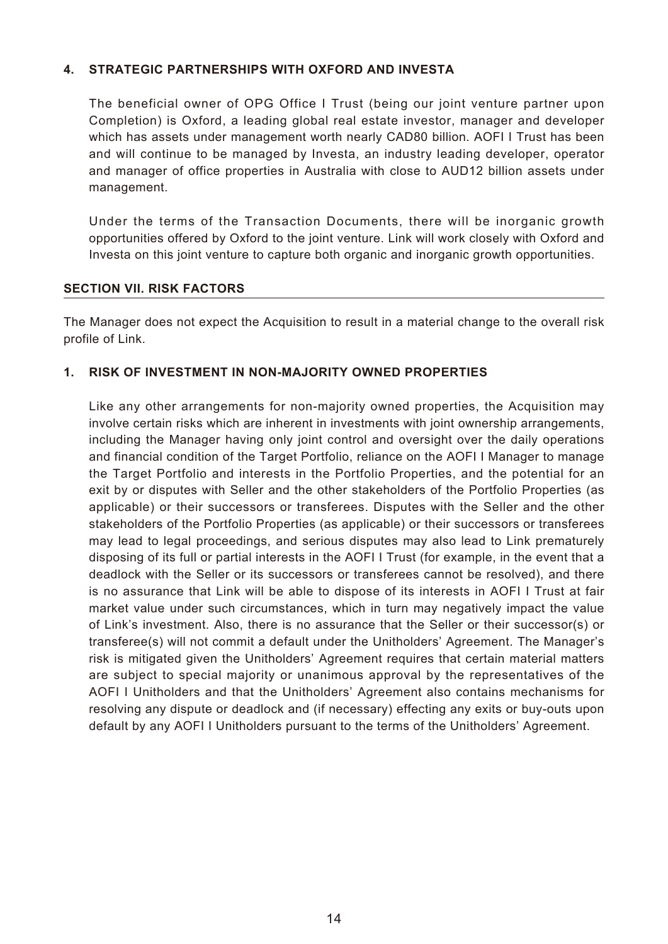#### **4. STRATEGIC PARTNERSHIPS WITH OXFORD AND INVESTA**

The beneficial owner of OPG Office I Trust (being our joint venture partner upon Completion) is Oxford, a leading global real estate investor, manager and developer which has assets under management worth nearly CAD80 billion. AOFI I Trust has been and will continue to be managed by Investa, an industry leading developer, operator and manager of office properties in Australia with close to AUD12 billion assets under management.

Under the terms of the Transaction Documents, there will be inorganic growth opportunities offered by Oxford to the joint venture. Link will work closely with Oxford and Investa on this joint venture to capture both organic and inorganic growth opportunities.

#### **SECTION VII. RISK FACTORS**

The Manager does not expect the Acquisition to result in a material change to the overall risk profile of Link.

#### **1. RISK OF INVESTMENT IN NON-MAJORITY OWNED PROPERTIES**

Like any other arrangements for non-majority owned properties, the Acquisition may involve certain risks which are inherent in investments with joint ownership arrangements, including the Manager having only joint control and oversight over the daily operations and financial condition of the Target Portfolio, reliance on the AOFI I Manager to manage the Target Portfolio and interests in the Portfolio Properties, and the potential for an exit by or disputes with Seller and the other stakeholders of the Portfolio Properties (as applicable) or their successors or transferees. Disputes with the Seller and the other stakeholders of the Portfolio Properties (as applicable) or their successors or transferees may lead to legal proceedings, and serious disputes may also lead to Link prematurely disposing of its full or partial interests in the AOFI I Trust (for example, in the event that a deadlock with the Seller or its successors or transferees cannot be resolved), and there is no assurance that Link will be able to dispose of its interests in AOFI I Trust at fair market value under such circumstances, which in turn may negatively impact the value of Link's investment. Also, there is no assurance that the Seller or their successor(s) or transferee(s) will not commit a default under the Unitholders' Agreement. The Manager's risk is mitigated given the Unitholders' Agreement requires that certain material matters are subject to special majority or unanimous approval by the representatives of the AOFI I Unitholders and that the Unitholders' Agreement also contains mechanisms for resolving any dispute or deadlock and (if necessary) effecting any exits or buy-outs upon default by any AOFI I Unitholders pursuant to the terms of the Unitholders' Agreement.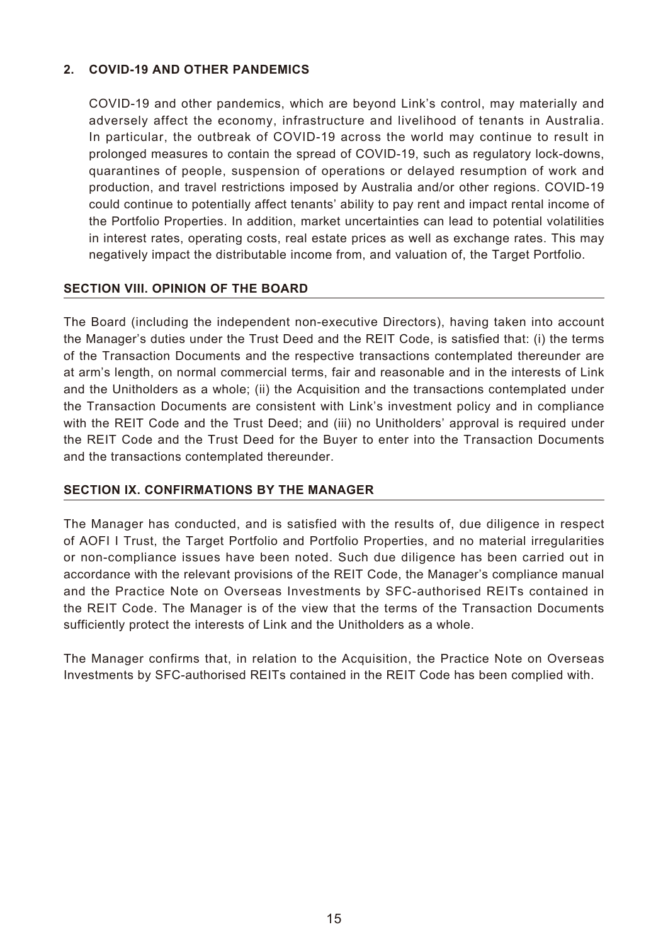## **2. COVID-19 AND OTHER PANDEMICS**

COVID-19 and other pandemics, which are beyond Link's control, may materially and adversely affect the economy, infrastructure and livelihood of tenants in Australia. In particular, the outbreak of COVID-19 across the world may continue to result in prolonged measures to contain the spread of COVID-19, such as regulatory lock-downs, quarantines of people, suspension of operations or delayed resumption of work and production, and travel restrictions imposed by Australia and/or other regions. COVID-19 could continue to potentially affect tenants' ability to pay rent and impact rental income of the Portfolio Properties. In addition, market uncertainties can lead to potential volatilities in interest rates, operating costs, real estate prices as well as exchange rates. This may negatively impact the distributable income from, and valuation of, the Target Portfolio.

## **SECTION VIII. OPINION OF THE BOARD**

The Board (including the independent non-executive Directors), having taken into account the Manager's duties under the Trust Deed and the REIT Code, is satisfied that: (i) the terms of the Transaction Documents and the respective transactions contemplated thereunder are at arm's length, on normal commercial terms, fair and reasonable and in the interests of Link and the Unitholders as a whole; (ii) the Acquisition and the transactions contemplated under the Transaction Documents are consistent with Link's investment policy and in compliance with the REIT Code and the Trust Deed; and (iii) no Unitholders' approval is required under the REIT Code and the Trust Deed for the Buyer to enter into the Transaction Documents and the transactions contemplated thereunder.

#### **SECTION IX. CONFIRMATIONS BY THE MANAGER**

The Manager has conducted, and is satisfied with the results of, due diligence in respect of AOFI I Trust, the Target Portfolio and Portfolio Properties, and no material irregularities or non-compliance issues have been noted. Such due diligence has been carried out in accordance with the relevant provisions of the REIT Code, the Manager's compliance manual and the Practice Note on Overseas Investments by SFC-authorised REITs contained in the REIT Code. The Manager is of the view that the terms of the Transaction Documents sufficiently protect the interests of Link and the Unitholders as a whole.

The Manager confirms that, in relation to the Acquisition, the Practice Note on Overseas Investments by SFC-authorised REITs contained in the REIT Code has been complied with.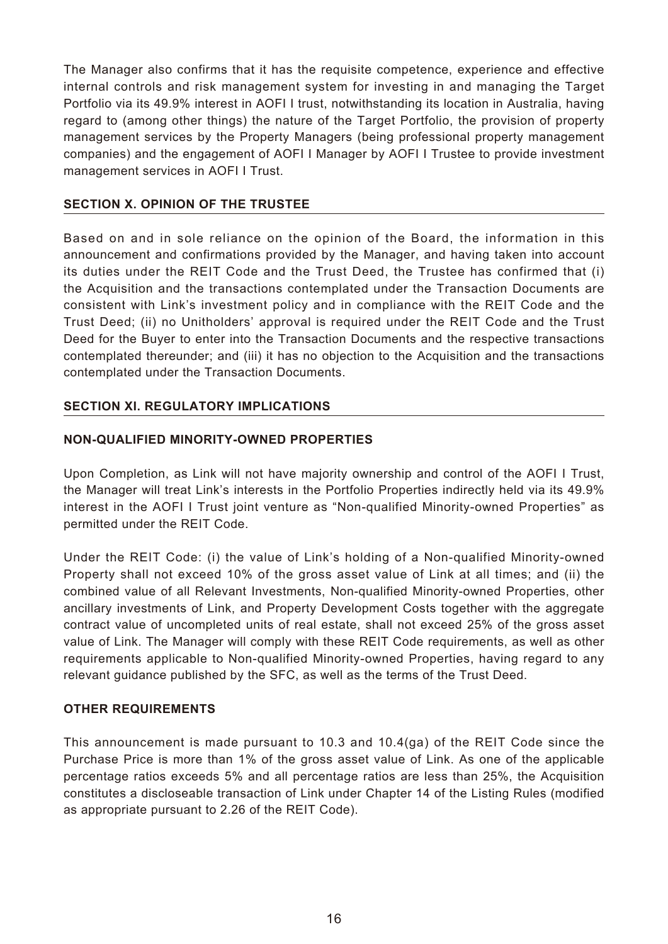The Manager also confirms that it has the requisite competence, experience and effective internal controls and risk management system for investing in and managing the Target Portfolio via its 49.9% interest in AOFI I trust, notwithstanding its location in Australia, having regard to (among other things) the nature of the Target Portfolio, the provision of property management services by the Property Managers (being professional property management companies) and the engagement of AOFI I Manager by AOFI I Trustee to provide investment management services in AOFI I Trust.

## **SECTION X. OPINION OF THE TRUSTEE**

Based on and in sole reliance on the opinion of the Board, the information in this announcement and confirmations provided by the Manager, and having taken into account its duties under the REIT Code and the Trust Deed, the Trustee has confirmed that (i) the Acquisition and the transactions contemplated under the Transaction Documents are consistent with Link's investment policy and in compliance with the REIT Code and the Trust Deed; (ii) no Unitholders' approval is required under the REIT Code and the Trust Deed for the Buyer to enter into the Transaction Documents and the respective transactions contemplated thereunder; and (iii) it has no objection to the Acquisition and the transactions contemplated under the Transaction Documents.

## **SECTION XI. REGULATORY IMPLICATIONS**

#### **NON-QUALIFIED MINORITY-OWNED PROPERTIES**

Upon Completion, as Link will not have majority ownership and control of the AOFI I Trust, the Manager will treat Link's interests in the Portfolio Properties indirectly held via its 49.9% interest in the AOFI I Trust joint venture as "Non-qualified Minority-owned Properties" as permitted under the REIT Code.

Under the REIT Code: (i) the value of Link's holding of a Non-qualified Minority-owned Property shall not exceed 10% of the gross asset value of Link at all times; and (ii) the combined value of all Relevant Investments, Non-qualified Minority-owned Properties, other ancillary investments of Link, and Property Development Costs together with the aggregate contract value of uncompleted units of real estate, shall not exceed 25% of the gross asset value of Link. The Manager will comply with these REIT Code requirements, as well as other requirements applicable to Non-qualified Minority-owned Properties, having regard to any relevant guidance published by the SFC, as well as the terms of the Trust Deed.

#### **OTHER REQUIREMENTS**

This announcement is made pursuant to 10.3 and 10.4(ga) of the REIT Code since the Purchase Price is more than 1% of the gross asset value of Link. As one of the applicable percentage ratios exceeds 5% and all percentage ratios are less than 25%, the Acquisition constitutes a discloseable transaction of Link under Chapter 14 of the Listing Rules (modified as appropriate pursuant to 2.26 of the REIT Code).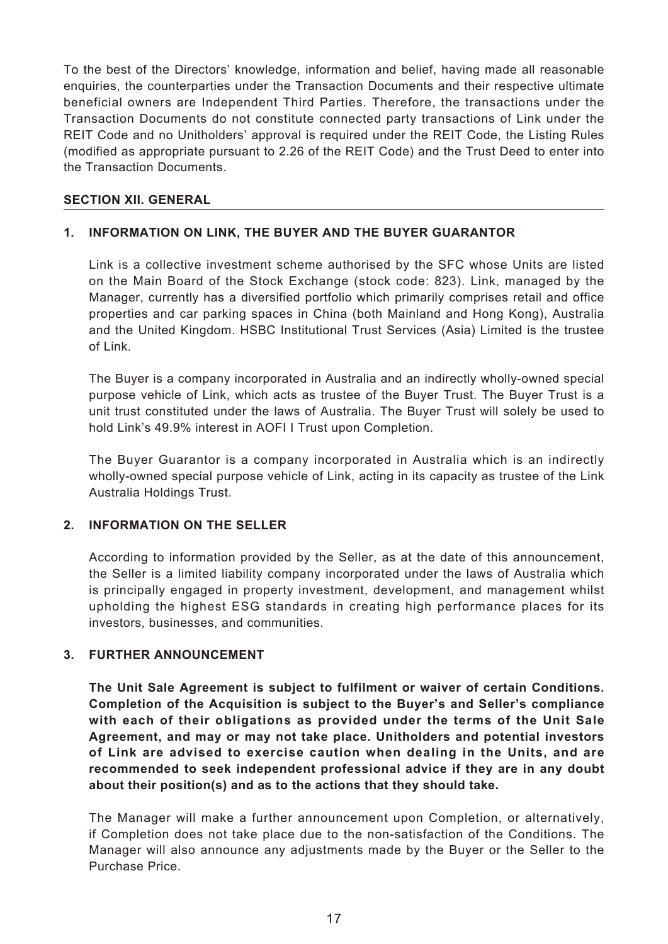To the best of the Directors' knowledge, information and belief, having made all reasonable enquiries, the counterparties under the Transaction Documents and their respective ultimate beneficial owners are Independent Third Parties. Therefore, the transactions under the Transaction Documents do not constitute connected party transactions of Link under the REIT Code and no Unitholders' approval is required under the REIT Code, the Listing Rules (modified as appropriate pursuant to 2.26 of the REIT Code) and the Trust Deed to enter into the Transaction Documents.

#### **SECTION XII. GENERAL**

## **1. INFORMATION ON LINK, THE BUYER AND THE BUYER GUARANTOR**

Link is a collective investment scheme authorised by the SFC whose Units are listed on the Main Board of the Stock Exchange (stock code: 823). Link, managed by the Manager, currently has a diversified portfolio which primarily comprises retail and office properties and car parking spaces in China (both Mainland and Hong Kong), Australia and the United Kingdom. HSBC Institutional Trust Services (Asia) Limited is the trustee of Link.

The Buyer is a company incorporated in Australia and an indirectly wholly-owned special purpose vehicle of Link, which acts as trustee of the Buyer Trust. The Buyer Trust is a unit trust constituted under the laws of Australia. The Buyer Trust will solely be used to hold Link's 49.9% interest in AOFI I Trust upon Completion.

The Buyer Guarantor is a company incorporated in Australia which is an indirectly wholly-owned special purpose vehicle of Link, acting in its capacity as trustee of the Link Australia Holdings Trust.

#### **2. INFORMATION ON THE SELLER**

According to information provided by the Seller, as at the date of this announcement, the Seller is a limited liability company incorporated under the laws of Australia which is principally engaged in property investment, development, and management whilst upholding the highest ESG standards in creating high performance places for its investors, businesses, and communities.

#### **3. FURTHER ANNOUNCEMENT**

**The Unit Sale Agreement is subject to fulfilment or waiver of certain Conditions. Completion of the Acquisition is subject to the Buyer's and Seller's compliance with each of their obligations as provided under the terms of the Unit Sale Agreement, and may or may not take place. Unitholders and potential investors of Link are advised to exercise caution when dealing in the Units, and are recommended to seek independent professional advice if they are in any doubt about their position(s) and as to the actions that they should take.**

The Manager will make a further announcement upon Completion, or alternatively, if Completion does not take place due to the non-satisfaction of the Conditions. The Manager will also announce any adjustments made by the Buyer or the Seller to the Purchase Price.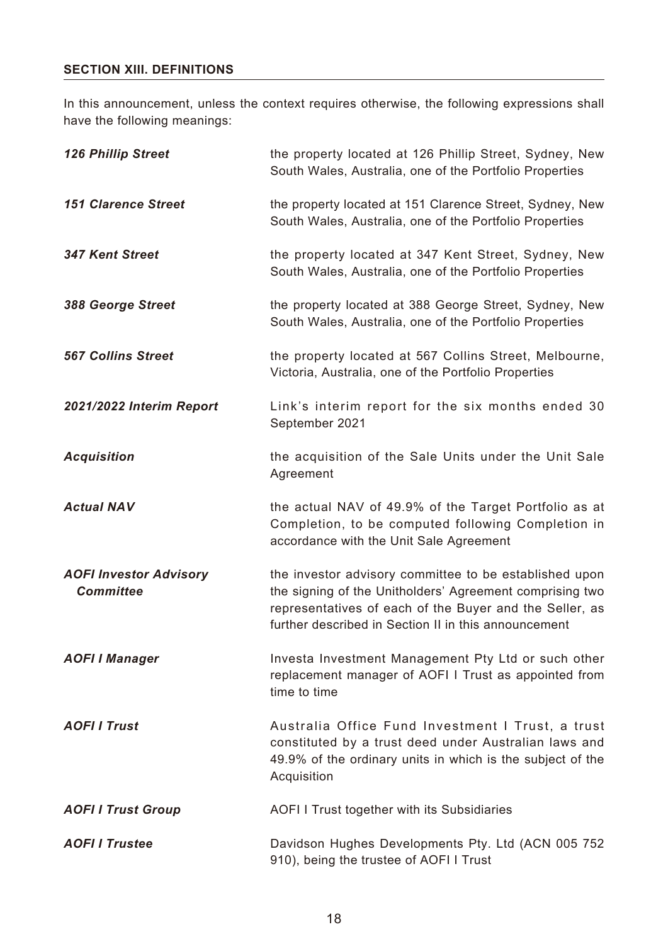## **SECTION XIII. DEFINITIONS**

In this announcement, unless the context requires otherwise, the following expressions shall have the following meanings:

| <b>126 Phillip Street</b>                         | the property located at 126 Phillip Street, Sydney, New<br>South Wales, Australia, one of the Portfolio Properties                                                                                                                    |
|---------------------------------------------------|---------------------------------------------------------------------------------------------------------------------------------------------------------------------------------------------------------------------------------------|
| <b>151 Clarence Street</b>                        | the property located at 151 Clarence Street, Sydney, New<br>South Wales, Australia, one of the Portfolio Properties                                                                                                                   |
| <b>347 Kent Street</b>                            | the property located at 347 Kent Street, Sydney, New<br>South Wales, Australia, one of the Portfolio Properties                                                                                                                       |
| 388 George Street                                 | the property located at 388 George Street, Sydney, New<br>South Wales, Australia, one of the Portfolio Properties                                                                                                                     |
| <b>567 Collins Street</b>                         | the property located at 567 Collins Street, Melbourne,<br>Victoria, Australia, one of the Portfolio Properties                                                                                                                        |
| 2021/2022 Interim Report                          | Link's interim report for the six months ended 30<br>September 2021                                                                                                                                                                   |
| <b>Acquisition</b>                                | the acquisition of the Sale Units under the Unit Sale<br>Agreement                                                                                                                                                                    |
| <b>Actual NAV</b>                                 | the actual NAV of 49.9% of the Target Portfolio as at<br>Completion, to be computed following Completion in<br>accordance with the Unit Sale Agreement                                                                                |
| <b>AOFI Investor Advisory</b><br><b>Committee</b> | the investor advisory committee to be established upon<br>the signing of the Unitholders' Agreement comprising two<br>representatives of each of the Buyer and the Seller, as<br>further described in Section II in this announcement |
| <b>AOFI I Manager</b>                             | Investa Investment Management Pty Ltd or such other<br>replacement manager of AOFI I Trust as appointed from<br>time to time                                                                                                          |
| <b>AOFIITrust</b>                                 | Australia Office Fund Investment I Trust, a trust<br>constituted by a trust deed under Australian laws and<br>49.9% of the ordinary units in which is the subject of the<br>Acquisition                                               |
| <b>AOFI I Trust Group</b>                         | <b>AOFI I Trust together with its Subsidiaries</b>                                                                                                                                                                                    |
| <b>AOFI I Trustee</b>                             | Davidson Hughes Developments Pty. Ltd (ACN 005 752<br>910), being the trustee of AOFI I Trust                                                                                                                                         |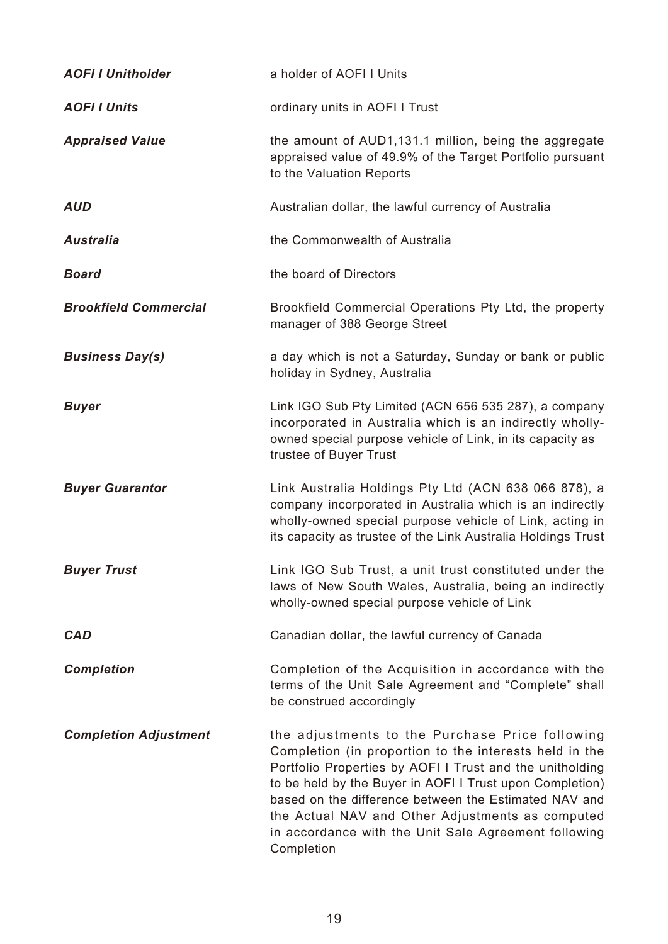| <b>AOFI I Unitholder</b>     | a holder of AOFI I Units                                                                                                                                                                                                                                                                                                                                                                                             |
|------------------------------|----------------------------------------------------------------------------------------------------------------------------------------------------------------------------------------------------------------------------------------------------------------------------------------------------------------------------------------------------------------------------------------------------------------------|
| <b>AOFIIUnits</b>            | ordinary units in AOFI I Trust                                                                                                                                                                                                                                                                                                                                                                                       |
| <b>Appraised Value</b>       | the amount of AUD1,131.1 million, being the aggregate<br>appraised value of 49.9% of the Target Portfolio pursuant<br>to the Valuation Reports                                                                                                                                                                                                                                                                       |
| <b>AUD</b>                   | Australian dollar, the lawful currency of Australia                                                                                                                                                                                                                                                                                                                                                                  |
| <b>Australia</b>             | the Commonwealth of Australia                                                                                                                                                                                                                                                                                                                                                                                        |
| <b>Board</b>                 | the board of Directors                                                                                                                                                                                                                                                                                                                                                                                               |
| <b>Brookfield Commercial</b> | Brookfield Commercial Operations Pty Ltd, the property<br>manager of 388 George Street                                                                                                                                                                                                                                                                                                                               |
| <b>Business Day(s)</b>       | a day which is not a Saturday, Sunday or bank or public<br>holiday in Sydney, Australia                                                                                                                                                                                                                                                                                                                              |
| <b>Buyer</b>                 | Link IGO Sub Pty Limited (ACN 656 535 287), a company<br>incorporated in Australia which is an indirectly wholly-<br>owned special purpose vehicle of Link, in its capacity as<br>trustee of Buyer Trust                                                                                                                                                                                                             |
| <b>Buyer Guarantor</b>       | Link Australia Holdings Pty Ltd (ACN 638 066 878), a<br>company incorporated in Australia which is an indirectly<br>wholly-owned special purpose vehicle of Link, acting in<br>its capacity as trustee of the Link Australia Holdings Trust                                                                                                                                                                          |
| <b>Buyer Trust</b>           | Link IGO Sub Trust, a unit trust constituted under the<br>laws of New South Wales, Australia, being an indirectly<br>wholly-owned special purpose vehicle of Link                                                                                                                                                                                                                                                    |
| <b>CAD</b>                   | Canadian dollar, the lawful currency of Canada                                                                                                                                                                                                                                                                                                                                                                       |
| <b>Completion</b>            | Completion of the Acquisition in accordance with the<br>terms of the Unit Sale Agreement and "Complete" shall<br>be construed accordingly                                                                                                                                                                                                                                                                            |
| <b>Completion Adjustment</b> | the adjustments to the Purchase Price following<br>Completion (in proportion to the interests held in the<br>Portfolio Properties by AOFI I Trust and the unitholding<br>to be held by the Buyer in AOFI I Trust upon Completion)<br>based on the difference between the Estimated NAV and<br>the Actual NAV and Other Adjustments as computed<br>in accordance with the Unit Sale Agreement following<br>Completion |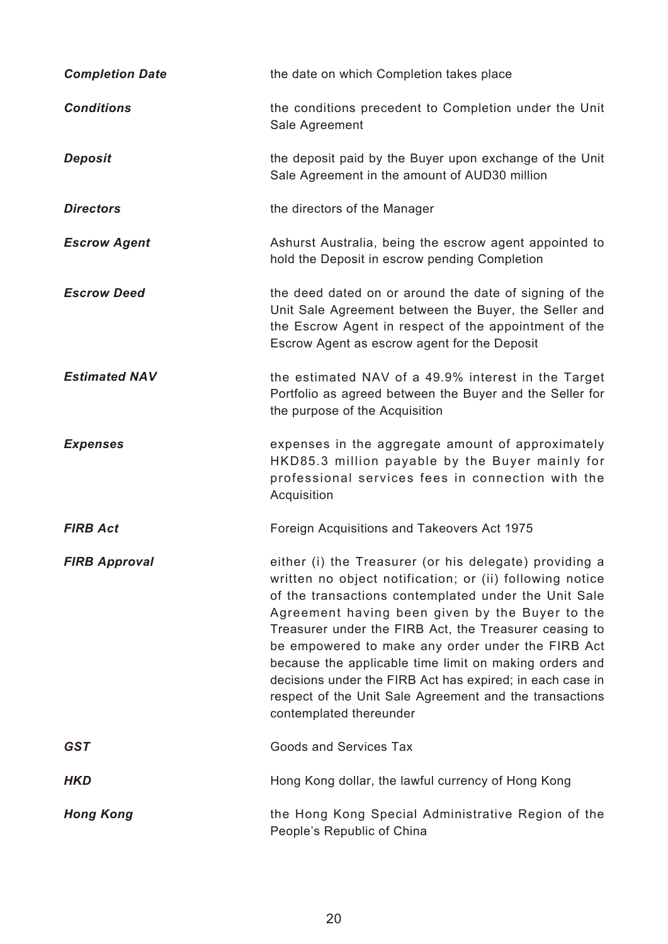| <b>Completion Date</b> | the date on which Completion takes place                                                                                                                                                                                                                                                                                                                                                                                                                                                                                                                  |
|------------------------|-----------------------------------------------------------------------------------------------------------------------------------------------------------------------------------------------------------------------------------------------------------------------------------------------------------------------------------------------------------------------------------------------------------------------------------------------------------------------------------------------------------------------------------------------------------|
| <b>Conditions</b>      | the conditions precedent to Completion under the Unit<br>Sale Agreement                                                                                                                                                                                                                                                                                                                                                                                                                                                                                   |
| <b>Deposit</b>         | the deposit paid by the Buyer upon exchange of the Unit<br>Sale Agreement in the amount of AUD30 million                                                                                                                                                                                                                                                                                                                                                                                                                                                  |
| <b>Directors</b>       | the directors of the Manager                                                                                                                                                                                                                                                                                                                                                                                                                                                                                                                              |
| <b>Escrow Agent</b>    | Ashurst Australia, being the escrow agent appointed to<br>hold the Deposit in escrow pending Completion                                                                                                                                                                                                                                                                                                                                                                                                                                                   |
| <b>Escrow Deed</b>     | the deed dated on or around the date of signing of the<br>Unit Sale Agreement between the Buyer, the Seller and<br>the Escrow Agent in respect of the appointment of the<br>Escrow Agent as escrow agent for the Deposit                                                                                                                                                                                                                                                                                                                                  |
| <b>Estimated NAV</b>   | the estimated NAV of a 49.9% interest in the Target<br>Portfolio as agreed between the Buyer and the Seller for<br>the purpose of the Acquisition                                                                                                                                                                                                                                                                                                                                                                                                         |
| <b>Expenses</b>        | expenses in the aggregate amount of approximately<br>HKD85.3 million payable by the Buyer mainly for<br>professional services fees in connection with the<br>Acquisition                                                                                                                                                                                                                                                                                                                                                                                  |
| <b>FIRB Act</b>        | Foreign Acquisitions and Takeovers Act 1975                                                                                                                                                                                                                                                                                                                                                                                                                                                                                                               |
| <b>FIRB Approval</b>   | either (i) the Treasurer (or his delegate) providing a<br>written no object notification; or (ii) following notice<br>of the transactions contemplated under the Unit Sale<br>Agreement having been given by the Buyer to the<br>Treasurer under the FIRB Act, the Treasurer ceasing to<br>be empowered to make any order under the FIRB Act<br>because the applicable time limit on making orders and<br>decisions under the FIRB Act has expired; in each case in<br>respect of the Unit Sale Agreement and the transactions<br>contemplated thereunder |
| <b>GST</b>             | <b>Goods and Services Tax</b>                                                                                                                                                                                                                                                                                                                                                                                                                                                                                                                             |
| <b>HKD</b>             | Hong Kong dollar, the lawful currency of Hong Kong                                                                                                                                                                                                                                                                                                                                                                                                                                                                                                        |
| <b>Hong Kong</b>       | the Hong Kong Special Administrative Region of the<br>People's Republic of China                                                                                                                                                                                                                                                                                                                                                                                                                                                                          |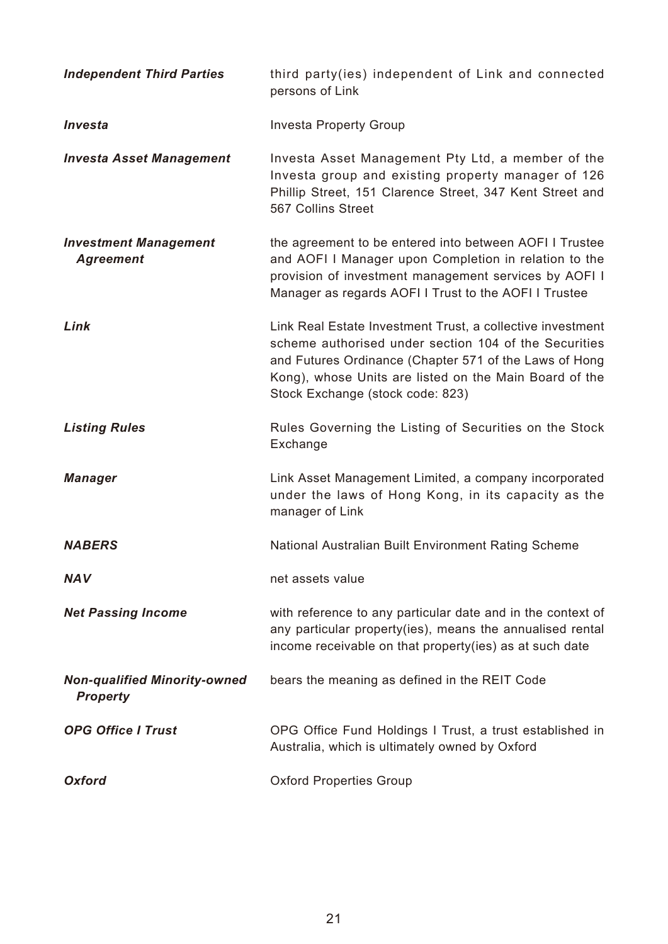| <b>Independent Third Parties</b>                       | third party(ies) independent of Link and connected<br>persons of Link                                                                                                                                                                                                       |
|--------------------------------------------------------|-----------------------------------------------------------------------------------------------------------------------------------------------------------------------------------------------------------------------------------------------------------------------------|
| Investa                                                | <b>Investa Property Group</b>                                                                                                                                                                                                                                               |
| <b>Investa Asset Management</b>                        | Investa Asset Management Pty Ltd, a member of the<br>Investa group and existing property manager of 126<br>Phillip Street, 151 Clarence Street, 347 Kent Street and<br>567 Collins Street                                                                                   |
| <b>Investment Management</b><br><b>Agreement</b>       | the agreement to be entered into between AOFI I Trustee<br>and AOFI I Manager upon Completion in relation to the<br>provision of investment management services by AOFI I<br>Manager as regards AOFI I Trust to the AOFI I Trustee                                          |
| Link                                                   | Link Real Estate Investment Trust, a collective investment<br>scheme authorised under section 104 of the Securities<br>and Futures Ordinance (Chapter 571 of the Laws of Hong<br>Kong), whose Units are listed on the Main Board of the<br>Stock Exchange (stock code: 823) |
| <b>Listing Rules</b>                                   | Rules Governing the Listing of Securities on the Stock<br>Exchange                                                                                                                                                                                                          |
| <b>Manager</b>                                         | Link Asset Management Limited, a company incorporated<br>under the laws of Hong Kong, in its capacity as the<br>manager of Link                                                                                                                                             |
| <b>NABERS</b>                                          | National Australian Built Environment Rating Scheme                                                                                                                                                                                                                         |
| <b>NAV</b>                                             | net assets value                                                                                                                                                                                                                                                            |
| <b>Net Passing Income</b>                              | with reference to any particular date and in the context of<br>any particular property(ies), means the annualised rental<br>income receivable on that property(ies) as at such date                                                                                         |
| <b>Non-qualified Minority-owned</b><br><b>Property</b> | bears the meaning as defined in the REIT Code                                                                                                                                                                                                                               |
| <b>OPG Office I Trust</b>                              | OPG Office Fund Holdings I Trust, a trust established in<br>Australia, which is ultimately owned by Oxford                                                                                                                                                                  |
| <b>Oxford</b>                                          | <b>Oxford Properties Group</b>                                                                                                                                                                                                                                              |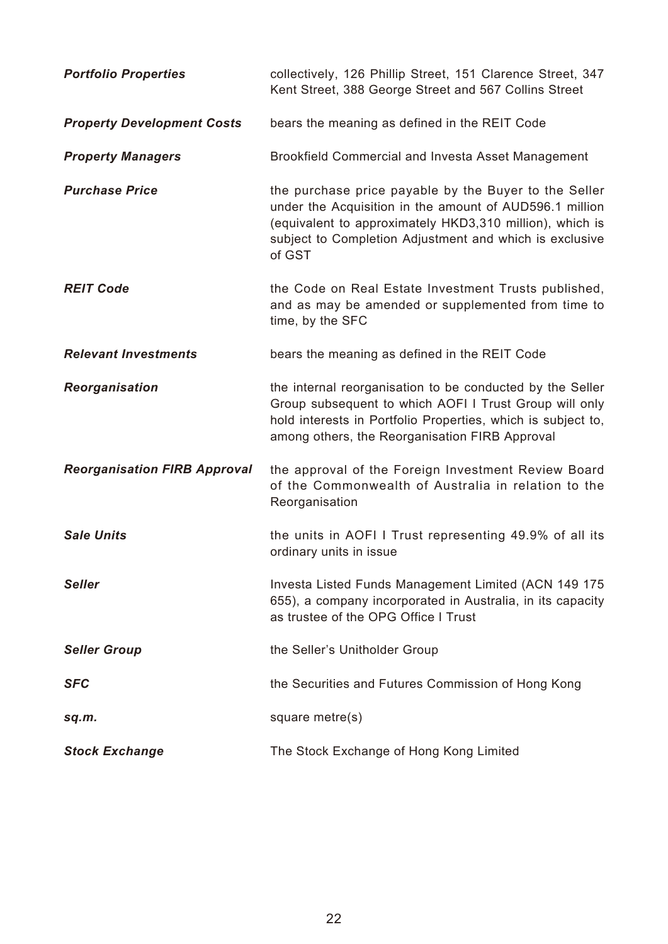| <b>Portfolio Properties</b>         | collectively, 126 Phillip Street, 151 Clarence Street, 347<br>Kent Street, 388 George Street and 567 Collins Street                                                                                                                               |
|-------------------------------------|---------------------------------------------------------------------------------------------------------------------------------------------------------------------------------------------------------------------------------------------------|
| <b>Property Development Costs</b>   | bears the meaning as defined in the REIT Code                                                                                                                                                                                                     |
| <b>Property Managers</b>            | <b>Brookfield Commercial and Investa Asset Management</b>                                                                                                                                                                                         |
| <b>Purchase Price</b>               | the purchase price payable by the Buyer to the Seller<br>under the Acquisition in the amount of AUD596.1 million<br>(equivalent to approximately HKD3,310 million), which is<br>subject to Completion Adjustment and which is exclusive<br>of GST |
| <b>REIT Code</b>                    | the Code on Real Estate Investment Trusts published,<br>and as may be amended or supplemented from time to<br>time, by the SFC                                                                                                                    |
| <b>Relevant Investments</b>         | bears the meaning as defined in the REIT Code                                                                                                                                                                                                     |
| Reorganisation                      | the internal reorganisation to be conducted by the Seller<br>Group subsequent to which AOFI I Trust Group will only<br>hold interests in Portfolio Properties, which is subject to,<br>among others, the Reorganisation FIRB Approval             |
| <b>Reorganisation FIRB Approval</b> | the approval of the Foreign Investment Review Board<br>of the Commonwealth of Australia in relation to the<br>Reorganisation                                                                                                                      |
| <b>Sale Units</b>                   | the units in AOFI I Trust representing 49.9% of all its<br>ordinary units in issue                                                                                                                                                                |
| <b>Seller</b>                       | Investa Listed Funds Management Limited (ACN 149 175<br>655), a company incorporated in Australia, in its capacity<br>as trustee of the OPG Office I Trust                                                                                        |
| <b>Seller Group</b>                 | the Seller's Unitholder Group                                                                                                                                                                                                                     |
| <b>SFC</b>                          | the Securities and Futures Commission of Hong Kong                                                                                                                                                                                                |
| sq.m.                               | square metre(s)                                                                                                                                                                                                                                   |
| <b>Stock Exchange</b>               | The Stock Exchange of Hong Kong Limited                                                                                                                                                                                                           |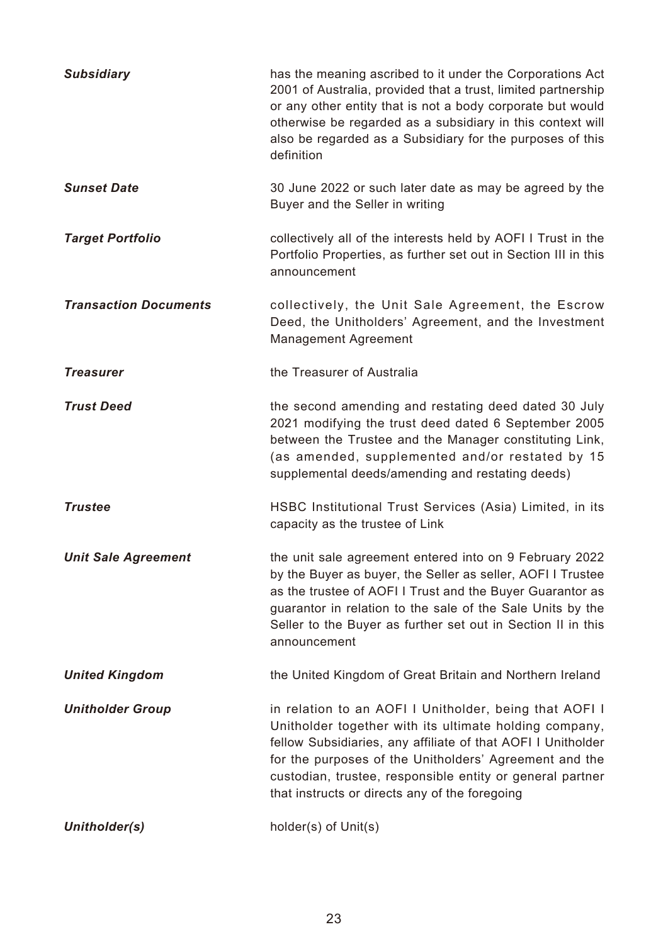| <b>Subsidiary</b>            | has the meaning ascribed to it under the Corporations Act<br>2001 of Australia, provided that a trust, limited partnership<br>or any other entity that is not a body corporate but would<br>otherwise be regarded as a subsidiary in this context will<br>also be regarded as a Subsidiary for the purposes of this<br>definition                         |
|------------------------------|-----------------------------------------------------------------------------------------------------------------------------------------------------------------------------------------------------------------------------------------------------------------------------------------------------------------------------------------------------------|
| <b>Sunset Date</b>           | 30 June 2022 or such later date as may be agreed by the<br>Buyer and the Seller in writing                                                                                                                                                                                                                                                                |
| <b>Target Portfolio</b>      | collectively all of the interests held by AOFI I Trust in the<br>Portfolio Properties, as further set out in Section III in this<br>announcement                                                                                                                                                                                                          |
| <b>Transaction Documents</b> | collectively, the Unit Sale Agreement, the Escrow<br>Deed, the Unitholders' Agreement, and the Investment<br><b>Management Agreement</b>                                                                                                                                                                                                                  |
| <b>Treasurer</b>             | the Treasurer of Australia                                                                                                                                                                                                                                                                                                                                |
| <b>Trust Deed</b>            | the second amending and restating deed dated 30 July<br>2021 modifying the trust deed dated 6 September 2005<br>between the Trustee and the Manager constituting Link,<br>(as amended, supplemented and/or restated by 15<br>supplemental deeds/amending and restating deeds)                                                                             |
| <b>Trustee</b>               | HSBC Institutional Trust Services (Asia) Limited, in its<br>capacity as the trustee of Link                                                                                                                                                                                                                                                               |
| <b>Unit Sale Agreement</b>   | the unit sale agreement entered into on 9 February 2022<br>by the Buyer as buyer, the Seller as seller, AOFI I Trustee<br>as the trustee of AOFI I Trust and the Buyer Guarantor as<br>guarantor in relation to the sale of the Sale Units by the<br>Seller to the Buyer as further set out in Section II in this<br>announcement                         |
| <b>United Kingdom</b>        | the United Kingdom of Great Britain and Northern Ireland                                                                                                                                                                                                                                                                                                  |
| <b>Unitholder Group</b>      | in relation to an AOFI I Unitholder, being that AOFI I<br>Unitholder together with its ultimate holding company,<br>fellow Subsidiaries, any affiliate of that AOFI I Unitholder<br>for the purposes of the Unitholders' Agreement and the<br>custodian, trustee, responsible entity or general partner<br>that instructs or directs any of the foregoing |
| Unitholder(s)                | holder(s) of Unit(s)                                                                                                                                                                                                                                                                                                                                      |